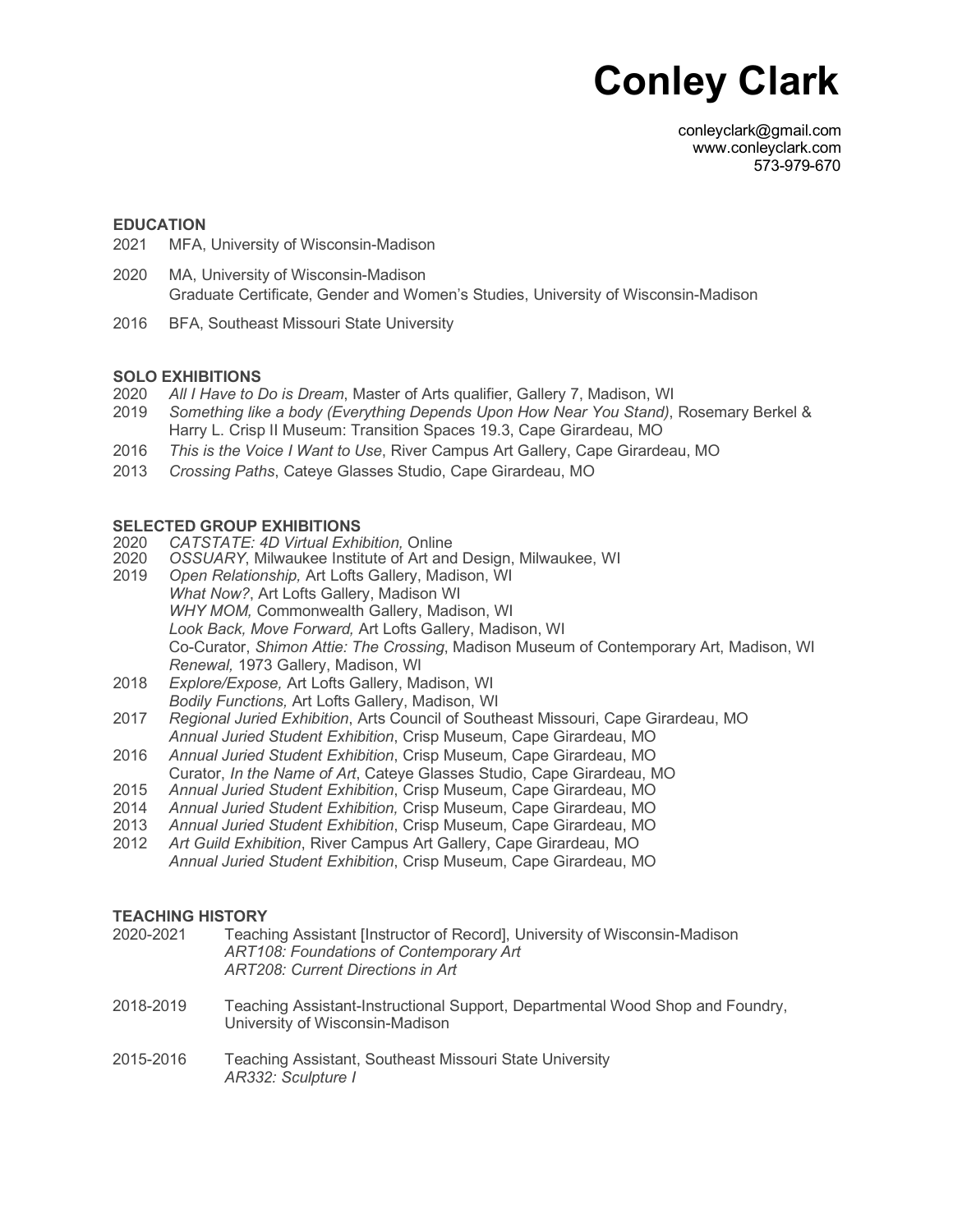# **Conley Clark**

conleyclark@gmail.com www.conleyclark.com 573-979-670

#### **EDUCATION**

- 2021 MFA, University of Wisconsin-Madison
- 2020 MA, University of Wisconsin-Madison Graduate Certificate, Gender and Women's Studies, University of Wisconsin-Madison
- 2016 BFA, Southeast Missouri State University

## **SOLO EXHIBITIONS**

- 2020 *All I Have to Do is Dream*, Master of Arts qualifier, Gallery 7, Madison, WI
- 2019 *Something like a body (Everything Depends Upon How Near You Stand)*, Rosemary Berkel & Harry L. Crisp II Museum: Transition Spaces 19.3, Cape Girardeau, MO
- 2016 *This is the Voice I Want to Use*, River Campus Art Gallery, Cape Girardeau, MO
- 2013 *Crossing Paths*, Cateye Glasses Studio, Cape Girardeau, MO

#### **SELECTED GROUP EXHIBITIONS**

- 2020 *CATSTATE: 4D Virtual Exhibition,* Online
- 2020<br>2019 *OSSUARY*, Milwaukee Institute of Art and Design, Milwaukee, WI
- 2019 *Open Relationship,* Art Lofts Gallery, Madison, WI *What Now?*, Art Lofts Gallery, Madison WI *WHY MOM,* Commonwealth Gallery, Madison, WI *Look Back, Move Forward,* Art Lofts Gallery, Madison, WI Co-Curator, *Shimon Attie: The Crossing*, Madison Museum of Contemporary Art, Madison, WI *Renewal,* 1973 Gallery, Madison, WI
- 2018 *Explore/Expose,* Art Lofts Gallery, Madison, WI *Bodily Functions,* Art Lofts Gallery, Madison, WI
- 2017 *Regional Juried Exhibition*, Arts Council of Southeast Missouri, Cape Girardeau, MO *Annual Juried Student Exhibition*, Crisp Museum, Cape Girardeau, MO
- 2016 *Annual Juried Student Exhibition*, Crisp Museum, Cape Girardeau, MO
- Curator, *In the Name of Art*, Cateye Glasses Studio, Cape Girardeau, MO
- 2015 *Annual Juried Student Exhibition*, Crisp Museum, Cape Girardeau, MO
- 2014 *Annual Juried Student Exhibition,* Crisp Museum, Cape Girardeau, MO
- 2013 *Annual Juried Student Exhibition*, Crisp Museum, Cape Girardeau, MO
- 2012 *Art Guild Exhibition*, River Campus Art Gallery, Cape Girardeau, MO *Annual Juried Student Exhibition*, Crisp Museum, Cape Girardeau, MO

## **TEACHING HISTORY**

- 2020-2021 Teaching Assistant [Instructor of Record], University of Wisconsin-Madison *ART108: Foundations of Contemporary Art ART208: Current Directions in Art* 2018-2019 Teaching Assistant-Instructional Support, Departmental Wood Shop and Foundry, University of Wisconsin-Madison 2015-2016 Teaching Assistant, Southeast Missouri State University
	- *AR332: Sculpture I*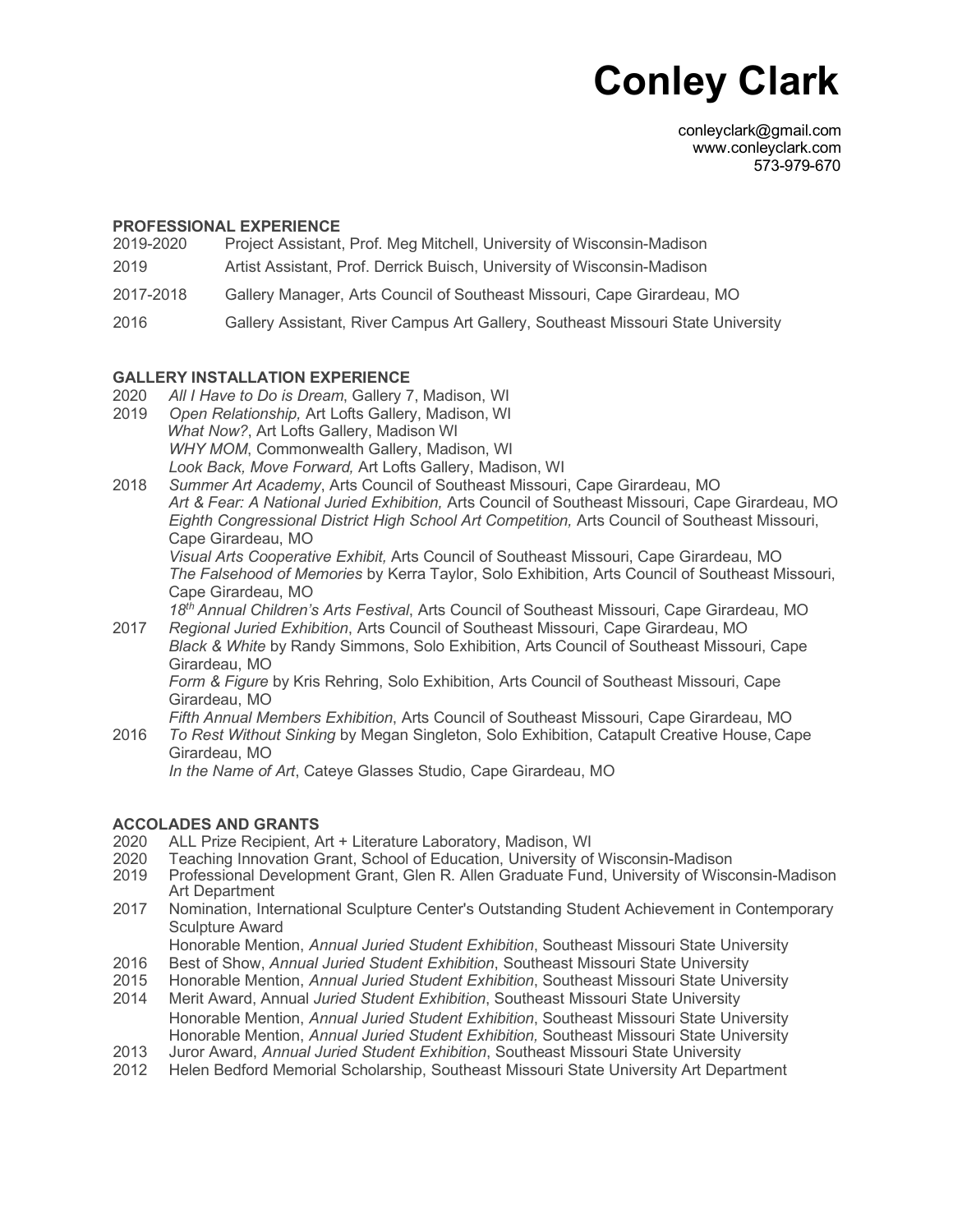# **Conley Clark**

conleyclark@gmail.com www.conleyclark.com 573-979-670

## **PROFESSIONAL EXPERIENCE**

- 2019-2020 Project Assistant, Prof. Meg Mitchell, University of Wisconsin-Madison
- 2019 Artist Assistant, Prof. Derrick Buisch, University of Wisconsin-Madison
- 2017-2018 Gallery Manager, Arts Council of Southeast Missouri, Cape Girardeau, MO
- 2016 Gallery Assistant, River Campus Art Gallery, Southeast Missouri State University

## **GALLERY INSTALLATION EXPERIENCE**

- 2020 *All I Have to Do is Dream*, Gallery 7, Madison, WI
- 2019 *Open Relationship,* Art Lofts Gallery, Madison, WI *What Now?*, Art Lofts Gallery, Madison WI *WHY MOM*, Commonwealth Gallery, Madison, WI *Look Back, Move Forward,* Art Lofts Gallery, Madison, WI
- 2018 *Summer Art Academy*, Arts Council of Southeast Missouri, Cape Girardeau, MO *Art & Fear: A National Juried Exhibition,* Arts Council of Southeast Missouri, Cape Girardeau, MO *Eighth Congressional District High School Art Competition,* Arts Council of Southeast Missouri, Cape Girardeau, MO

*Visual Arts Cooperative Exhibit,* Arts Council of Southeast Missouri, Cape Girardeau, MO *The Falsehood of Memories* by Kerra Taylor, Solo Exhibition, Arts Council of Southeast Missouri, Cape Girardeau, MO

*18th Annual Children's Arts Festival*, Arts Council of Southeast Missouri, Cape Girardeau, MO

2017 *Regional Juried Exhibition*, Arts Council of Southeast Missouri, Cape Girardeau, MO *Black & White* by Randy Simmons, Solo Exhibition, Arts Council of Southeast Missouri, Cape Girardeau, MO

*Form & Figure* by Kris Rehring, Solo Exhibition, Arts Council of Southeast Missouri, Cape Girardeau, MO

*Fifth Annual Members Exhibition*, Arts Council of Southeast Missouri, Cape Girardeau, MO 2016 *To Rest Without Sinking* by Megan Singleton, Solo Exhibition, Catapult Creative House, Cape Girardeau, MO *In the Name of Art*, Cateye Glasses Studio, Cape Girardeau, MO

## **ACCOLADES AND GRANTS**

- 2020 ALL Prize Recipient, Art + Literature Laboratory, Madison, WI
- 2020 Teaching Innovation Grant, School of Education, University of Wisconsin-Madison
- 2019 Professional Development Grant, Glen R. Allen Graduate Fund, University of Wisconsin-Madison Art Department
- 2017 Nomination, International Sculpture Center's Outstanding Student Achievement in Contemporary Sculpture Award
- Honorable Mention, *Annual Juried Student Exhibition*, Southeast Missouri State University
- 2016 Best of Show, *Annual Juried Student Exhibition*, Southeast Missouri State University
- 2015 Honorable Mention, *Annual Juried Student Exhibition*, Southeast Missouri State University
- 2014 Merit Award, Annual *Juried Student Exhibition*, Southeast Missouri State University Honorable Mention, *Annual Juried Student Exhibition*, Southeast Missouri State University Honorable Mention, *Annual Juried Student Exhibition,* Southeast Missouri State University
- 2013 Juror Award, *Annual Juried Student Exhibition*, Southeast Missouri State University
- 2012 Helen Bedford Memorial Scholarship, Southeast Missouri State University Art Department